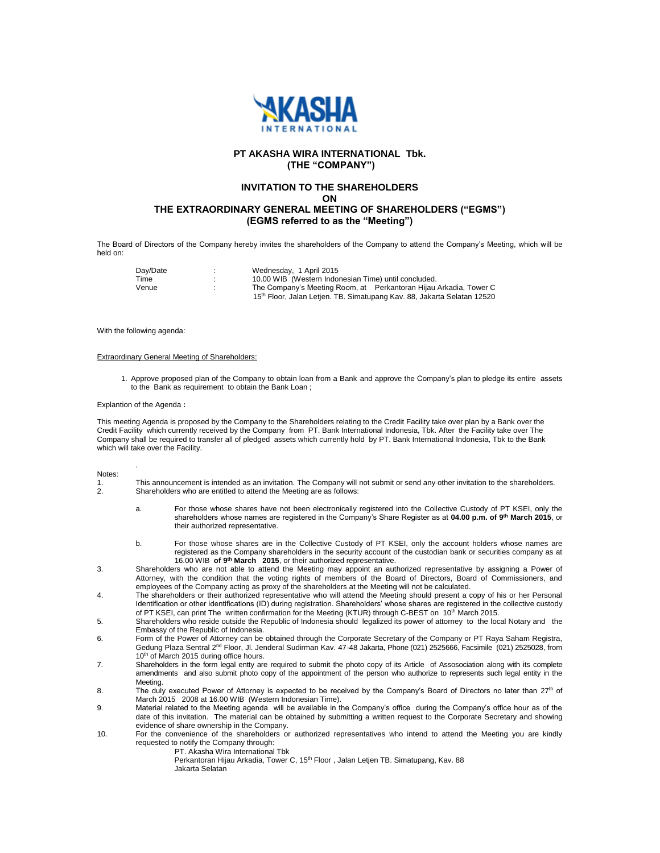

# **PT AKASHA WIRA INTERNATIONAL Tbk. (THE "COMPANY")**

# **INVITATION TO THE SHAREHOLDERS**

**ON**

# **THE EXTRAORDINARY GENERAL MEETING OF SHAREHOLDERS ("EGMS") (EGMS referred to as the "Meeting")**

The Board of Directors of the Company hereby invites the shareholders of the Company to attend the Company's Meeting, which will be held on:

| Dav/Date | Wednesday, 1 April 2015                                                             |
|----------|-------------------------------------------------------------------------------------|
| Time     | 10.00 WIB (Western Indonesian Time) until concluded.                                |
| Venue    | The Company's Meeting Room, at Perkantoran Hijau Arkadia, Tower C                   |
|          | 15 <sup>th</sup> Floor, Jalan Letjen. TB. Simatupang Kav. 88, Jakarta Selatan 12520 |

With the following agenda:

### Extraordinary General Meeting of Shareholders:

1. Approve proposed plan of the Company to obtain loan from a Bank and approve the Company's plan to pledge its entire assets to the Bank as requirement to obtain the Bank Loan ;

#### Explantion of the Agenda **:**

.

This meeting Agenda is proposed by the Company to the Shareholders relating to the Credit Facility take over plan by a Bank over the Credit Facility which currently received by the Company from PT. Bank International Indonesia, Tbk. After the Facility take over The Company shall be required to transfer all of pledged assets which currently hold by PT. Bank International Indonesia, Tbk to the Bank which will take over the Facility.

| ×<br>۰. |  |
|---------|--|

1. This announcement is intended as an invitation. The Company will not submit or send any other invitation to the shareholders.<br>2. Shareholders who are entitled to attend the Meeting are as follows: Shareholders who are entitled to attend the Meeting are as follows:

- a. For those whose shares have not been electronically registered into the Collective Custody of PT KSEI, only the shareholders whose names are registered in the Company's Share Register as at **04.00 p.m. of 9 th March 2015**, or their authorized representative.
- b. For those whose shares are in the Collective Custody of PT KSEI, only the account holders whose names are registered as the Company shareholders in the security account of the custodian bank or securities company as at 16.00 WIB **of 9 th March 2015**, or their authorized representative.
- 3. Shareholders who are not able to attend the Meeting may appoint an authorized representative by assigning a Power of Attorney, with the condition that the voting rights of members of the Board of Directors, Board of Commissioners, and employees of the Company acting as proxy of the shareholders at the Meeting will not be calculated.
- 4. The shareholders or their authorized representative who will attend the Meeting should present a copy of his or her Personal Identification or other identifications (ID) during registration. Shareholders' whose shares are registered in the collective custody of PT KSEI, can print The written confirmation for the Meeting (KTUR) through C-BEST on 10<sup>th</sup> March 2015.
- 5. Shareholders who reside outside the Republic of Indonesia should legalized its power of attorney to the local Notary and the Embassy of the Republic of Indonesia.
- 6. Form of the Power of Attorney can be obtained through the Corporate Secretary of the Company or PT Raya Saham Registra, Gedung Plaza Sentral 2nd Floor, Jl. Jenderal Sudirman Kav. 47-48 Jakarta, Phone (021) 2525666, Facsimile (021) 2525028, from 10<sup>th</sup> of March 2015 during office hours.
- 7. Shareholders in the form legal entty are required to submit the photo copy of its Article of Assosociation along with its complete amendments and also submit photo copy of the appointment of the person who authorize to represents such legal entity in the Meeting.
- 8. The duly executed Power of Attorney is expected to be received by the Company's Board of Directors no later than  $27<sup>th</sup>$  of March 2015 2008 at 16.00 WIB (Western Indonesian Time).
- 9. Material related to the Meeting agenda will be available in the Company's office during the Company's office hour as of the date of this invitation. The material can be obtained by submitting a written request to the Corporate Secretary and showing evidence of share ownership in the Company.
- 10. For the convenience of the shareholders or authorized representatives who intend to attend the Meeting you are kindly requested to notify the Company through:

PT. Akasha Wira International Tbk

Perkantoran Hijau Arkadia, Tower C, 15<sup>th</sup> Floor, Jalan Letjen TB. Simatupang, Kav. 88 Jakarta Selatan